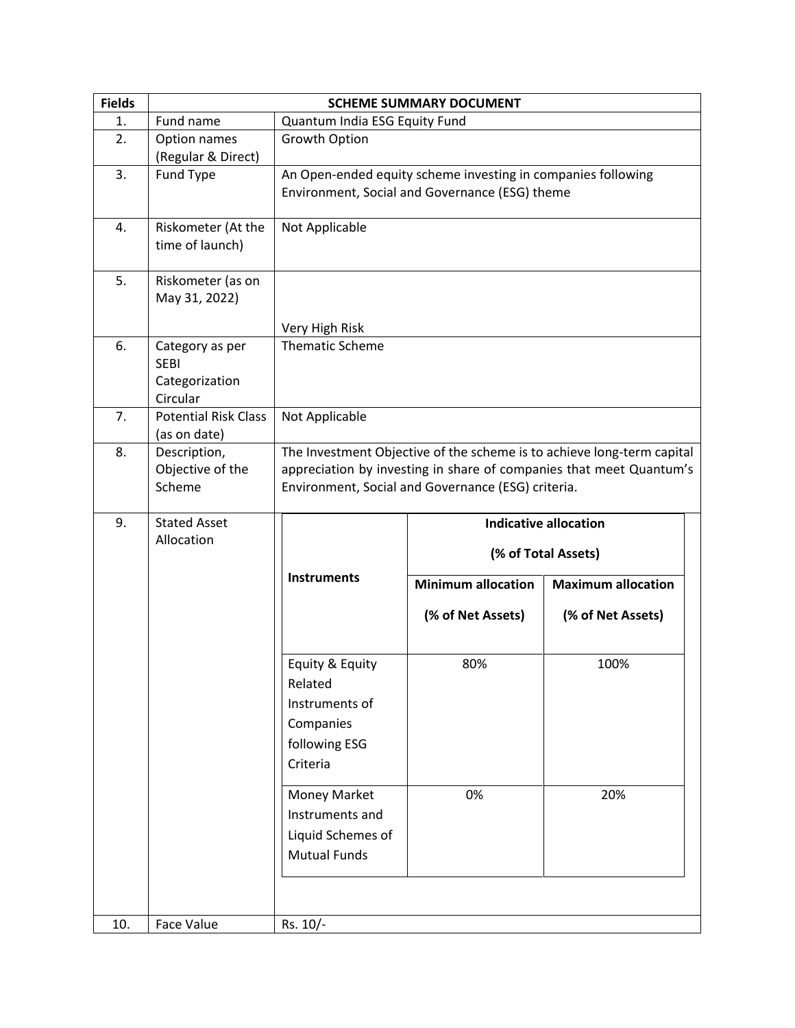| <b>Fields</b> | <b>SCHEME SUMMARY DOCUMENT</b>                               |                                                                                        |                                                                                                                |                                                                                                                                               |  |
|---------------|--------------------------------------------------------------|----------------------------------------------------------------------------------------|----------------------------------------------------------------------------------------------------------------|-----------------------------------------------------------------------------------------------------------------------------------------------|--|
| 1.            | Fund name                                                    | Quantum India ESG Equity Fund                                                          |                                                                                                                |                                                                                                                                               |  |
| 2.            | Option names<br>(Regular & Direct)                           | Growth Option                                                                          |                                                                                                                |                                                                                                                                               |  |
| 3.            | Fund Type                                                    |                                                                                        | An Open-ended equity scheme investing in companies following<br>Environment, Social and Governance (ESG) theme |                                                                                                                                               |  |
| 4.            | Riskometer (At the<br>time of launch)                        | Not Applicable                                                                         |                                                                                                                |                                                                                                                                               |  |
| 5.            | Riskometer (as on<br>May 31, 2022)                           | Very High Risk                                                                         |                                                                                                                |                                                                                                                                               |  |
| 6.            | Category as per<br><b>SEBI</b><br>Categorization<br>Circular | <b>Thematic Scheme</b>                                                                 |                                                                                                                |                                                                                                                                               |  |
| 7.            | <b>Potential Risk Class</b><br>(as on date)                  | Not Applicable                                                                         |                                                                                                                |                                                                                                                                               |  |
| 8.            | Description,<br>Objective of the<br>Scheme                   |                                                                                        | Environment, Social and Governance (ESG) criteria.                                                             | The Investment Objective of the scheme is to achieve long-term capital<br>appreciation by investing in share of companies that meet Quantum's |  |
|               | <b>Stated Asset</b>                                          |                                                                                        |                                                                                                                |                                                                                                                                               |  |
| 9.            | Allocation                                                   |                                                                                        |                                                                                                                | <b>Indicative allocation</b><br>(% of Total Assets)                                                                                           |  |
|               |                                                              | <b>Instruments</b>                                                                     | <b>Minimum allocation</b>                                                                                      | <b>Maximum allocation</b>                                                                                                                     |  |
|               |                                                              |                                                                                        | (% of Net Assets)                                                                                              | (% of Net Assets)                                                                                                                             |  |
|               |                                                              | Equity & Equity<br>Related<br>Instruments of<br>Companies<br>following ESG<br>Criteria | 80%                                                                                                            | 100%                                                                                                                                          |  |
|               |                                                              | Money Market<br>Instruments and<br>Liquid Schemes of<br><b>Mutual Funds</b>            | 0%                                                                                                             | 20%                                                                                                                                           |  |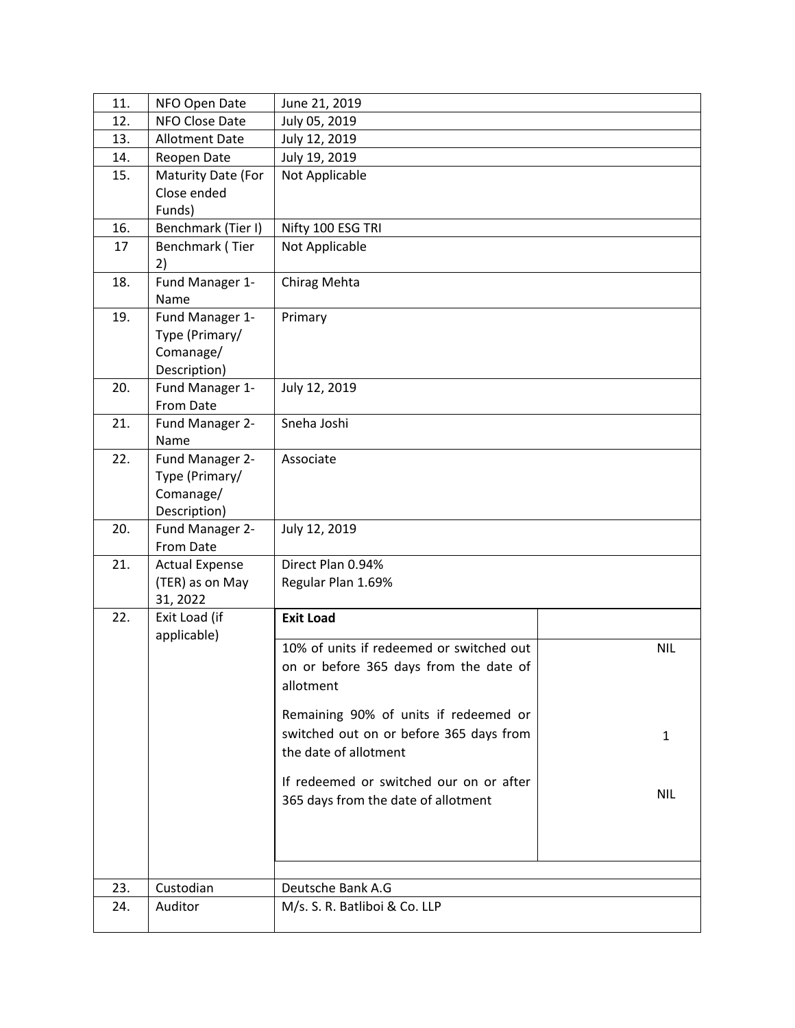| 11. | NFO Open Date                | June 21, 2019                            |            |
|-----|------------------------------|------------------------------------------|------------|
| 12. | NFO Close Date               | July 05, 2019                            |            |
| 13. | <b>Allotment Date</b>        | July 12, 2019                            |            |
| 14. | Reopen Date                  | July 19, 2019                            |            |
| 15. | Maturity Date (For           | Not Applicable                           |            |
|     | Close ended                  |                                          |            |
|     | Funds)                       |                                          |            |
| 16. | Benchmark (Tier I)           | Nifty 100 ESG TRI                        |            |
| 17  | Benchmark (Tier              | Not Applicable                           |            |
|     | 2)                           |                                          |            |
| 18. | Fund Manager 1-<br>Name      | Chirag Mehta                             |            |
| 19. | Fund Manager 1-              | Primary                                  |            |
|     | Type (Primary/               |                                          |            |
|     | Comanage/                    |                                          |            |
|     | Description)                 |                                          |            |
| 20. | Fund Manager 1-              | July 12, 2019                            |            |
| 21. | From Date<br>Fund Manager 2- | Sneha Joshi                              |            |
|     | Name                         |                                          |            |
| 22. | Fund Manager 2-              | Associate                                |            |
|     | Type (Primary/               |                                          |            |
|     | Comanage/                    |                                          |            |
|     | Description)                 |                                          |            |
| 20. | Fund Manager 2-              | July 12, 2019                            |            |
|     | From Date                    |                                          |            |
| 21. | <b>Actual Expense</b>        | Direct Plan 0.94%                        |            |
|     | (TER) as on May              | Regular Plan 1.69%                       |            |
|     | 31, 2022                     |                                          |            |
| 22. | Exit Load (if<br>applicable) | <b>Exit Load</b>                         |            |
|     |                              | 10% of units if redeemed or switched out | <b>NIL</b> |
|     |                              | on or before 365 days from the date of   |            |
|     |                              | allotment                                |            |
|     |                              | Remaining 90% of units if redeemed or    |            |
|     |                              | switched out on or before 365 days from  |            |
|     |                              | the date of allotment                    | 1          |
|     |                              |                                          |            |
|     |                              | If redeemed or switched our on or after  |            |
|     |                              | 365 days from the date of allotment      | <b>NIL</b> |
|     |                              |                                          |            |
|     |                              |                                          |            |
|     |                              |                                          |            |
|     |                              |                                          |            |
| 23. | Custodian                    | Deutsche Bank A.G                        |            |
| 24. | Auditor                      | M/s. S. R. Batliboi & Co. LLP            |            |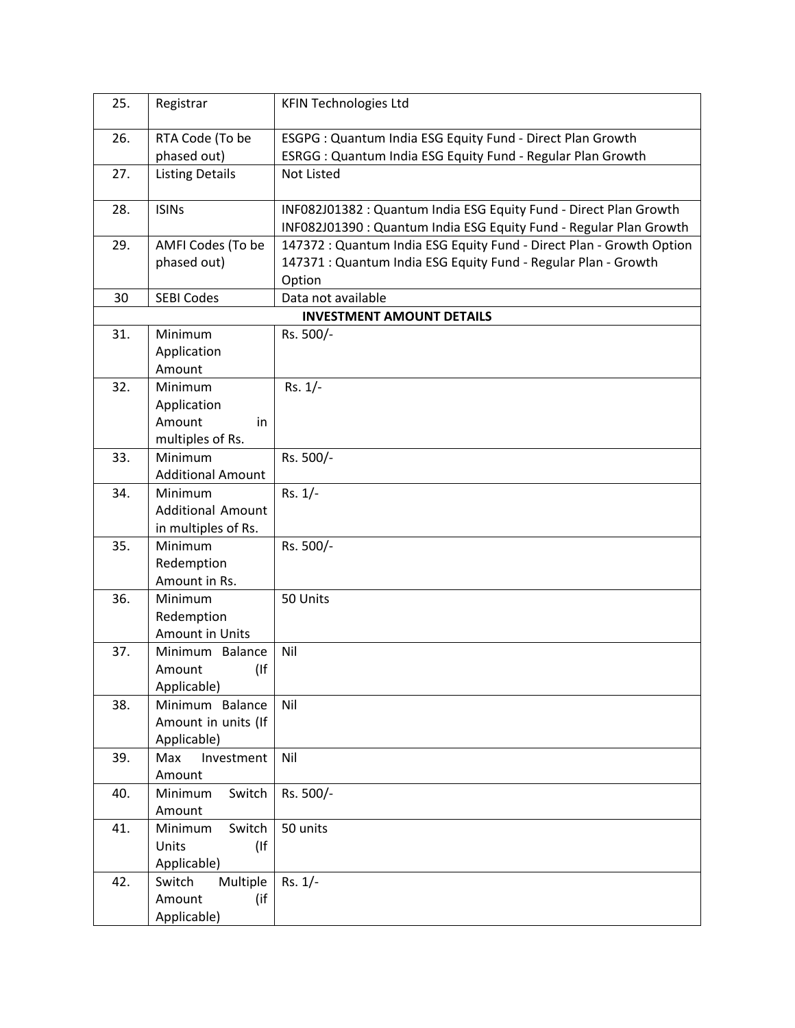| 25. | Registrar                      | <b>KFIN Technologies Ltd</b>                                                                                                            |
|-----|--------------------------------|-----------------------------------------------------------------------------------------------------------------------------------------|
| 26. | RTA Code (To be                | ESGPG : Quantum India ESG Equity Fund - Direct Plan Growth                                                                              |
|     | phased out)                    | ESRGG : Quantum India ESG Equity Fund - Regular Plan Growth                                                                             |
| 27. | <b>Listing Details</b>         | <b>Not Listed</b>                                                                                                                       |
| 28. | <b>ISINs</b>                   | INF082J01382 : Quantum India ESG Equity Fund - Direct Plan Growth<br>INF082J01390 : Quantum India ESG Equity Fund - Regular Plan Growth |
| 29. | AMFI Codes (To be              | 147372 : Quantum India ESG Equity Fund - Direct Plan - Growth Option                                                                    |
|     | phased out)                    | 147371 : Quantum India ESG Equity Fund - Regular Plan - Growth                                                                          |
|     |                                | Option                                                                                                                                  |
| 30  | <b>SEBI Codes</b>              | Data not available                                                                                                                      |
|     |                                | <b>INVESTMENT AMOUNT DETAILS</b>                                                                                                        |
| 31. | Minimum                        | Rs. 500/-                                                                                                                               |
|     | Application                    |                                                                                                                                         |
|     | Amount                         |                                                                                                                                         |
| 32. | Minimum                        | Rs. 1/-                                                                                                                                 |
|     | Application                    |                                                                                                                                         |
|     | Amount<br>in                   |                                                                                                                                         |
|     | multiples of Rs.               |                                                                                                                                         |
| 33. | Minimum                        | Rs. 500/-                                                                                                                               |
|     | <b>Additional Amount</b>       |                                                                                                                                         |
| 34. | Minimum                        | $Rs. 1/-$                                                                                                                               |
|     | <b>Additional Amount</b>       |                                                                                                                                         |
|     | in multiples of Rs.<br>Minimum |                                                                                                                                         |
| 35. | Redemption                     | Rs. 500/-                                                                                                                               |
|     | Amount in Rs.                  |                                                                                                                                         |
| 36. | Minimum                        | 50 Units                                                                                                                                |
|     | Redemption                     |                                                                                                                                         |
|     | Amount in Units                |                                                                                                                                         |
| 37. | Minimum Balance                | Nil                                                                                                                                     |
|     | $($ If<br>Amount               |                                                                                                                                         |
|     | Applicable)                    |                                                                                                                                         |
| 38. | Minimum Balance                | Nil                                                                                                                                     |
|     | Amount in units (If            |                                                                                                                                         |
|     | Applicable)                    |                                                                                                                                         |
| 39. | Max<br>Investment              | Nil                                                                                                                                     |
|     | Amount                         |                                                                                                                                         |
| 40. | Switch<br>Minimum              | Rs. 500/-                                                                                                                               |
|     | Amount                         |                                                                                                                                         |
| 41. | Minimum<br>Switch              | 50 units                                                                                                                                |
|     | (<br>Units                     |                                                                                                                                         |
|     | Applicable)                    |                                                                                                                                         |
| 42. | Multiple<br>Switch             | $Rs. 1/-$                                                                                                                               |
|     | Amount<br>(if                  |                                                                                                                                         |
|     | Applicable)                    |                                                                                                                                         |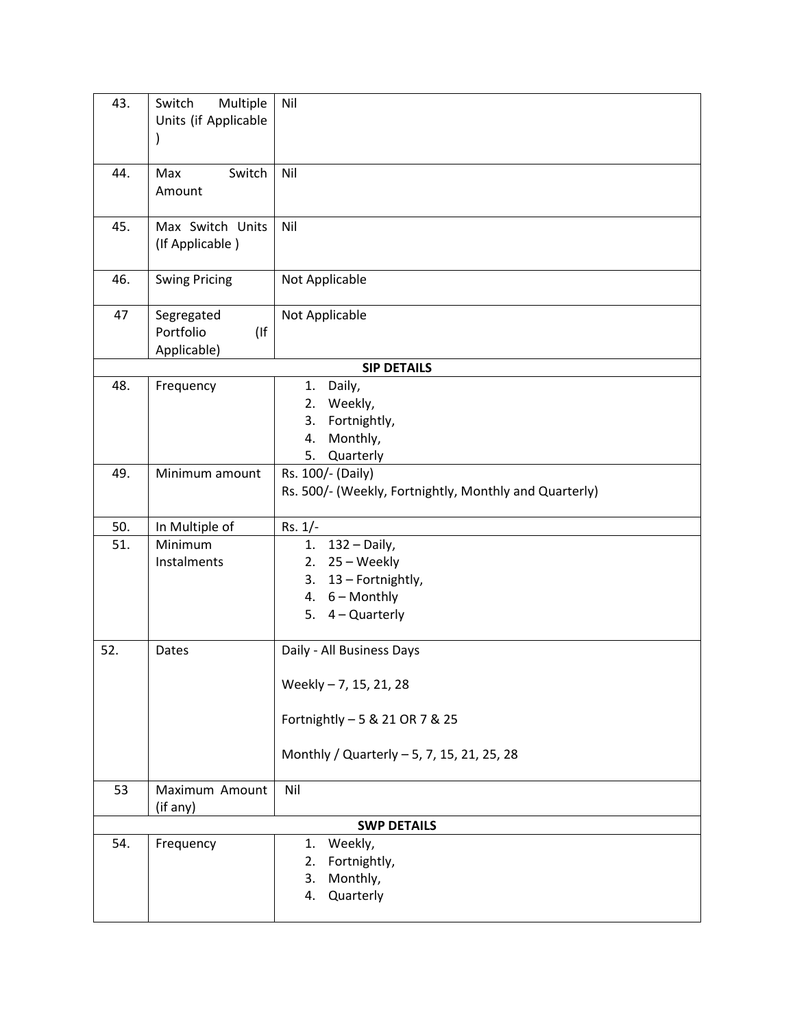| 43. | Switch<br>Multiple<br>Units (if Applicable<br>$\mathcal{I}$ | Nil                                                                                      |
|-----|-------------------------------------------------------------|------------------------------------------------------------------------------------------|
| 44. | Switch<br>Max<br>Amount                                     | Nil                                                                                      |
| 45. | Max Switch Units<br>(If Applicable)                         | Nil                                                                                      |
| 46. | <b>Swing Pricing</b>                                        | Not Applicable                                                                           |
| 47  | Segregated<br>Portfolio<br>$($ If<br>Applicable)            | Not Applicable                                                                           |
|     |                                                             | <b>SIP DETAILS</b>                                                                       |
| 48. | Frequency                                                   | Daily,<br>1.<br>Weekly,<br>2.<br>Fortnightly,<br>3.<br>Monthly,<br>4.<br>5.<br>Quarterly |
| 49. | Minimum amount                                              | Rs. 100/- (Daily)<br>Rs. 500/- (Weekly, Fortnightly, Monthly and Quarterly)              |
| 50. | In Multiple of                                              | Rs. 1/-                                                                                  |
| 51. | Minimum                                                     | $132 - Daily$ ,<br>1.                                                                    |
|     | Instalments                                                 | 25 - Weekly<br>2.                                                                        |
|     |                                                             | 13 - Fortnightly,<br>3.                                                                  |
|     |                                                             | 4. $6 -$ Monthly<br>5. 4 - Quarterly                                                     |
| 52. | Dates                                                       | Daily - All Business Days                                                                |
|     |                                                             | Weekly - 7, 15, 21, 28                                                                   |
|     |                                                             | Fortnightly - 5 & 21 OR 7 & 25                                                           |
|     |                                                             | Monthly / Quarterly - 5, 7, 15, 21, 25, 28                                               |
| 53  | Maximum Amount<br>(if any)                                  | Nil                                                                                      |
|     |                                                             | <b>SWP DETAILS</b>                                                                       |
| 54. | Frequency                                                   | Weekly,<br>1.<br>Fortnightly,<br>2.<br>Monthly,<br>3.<br>Quarterly<br>4.                 |